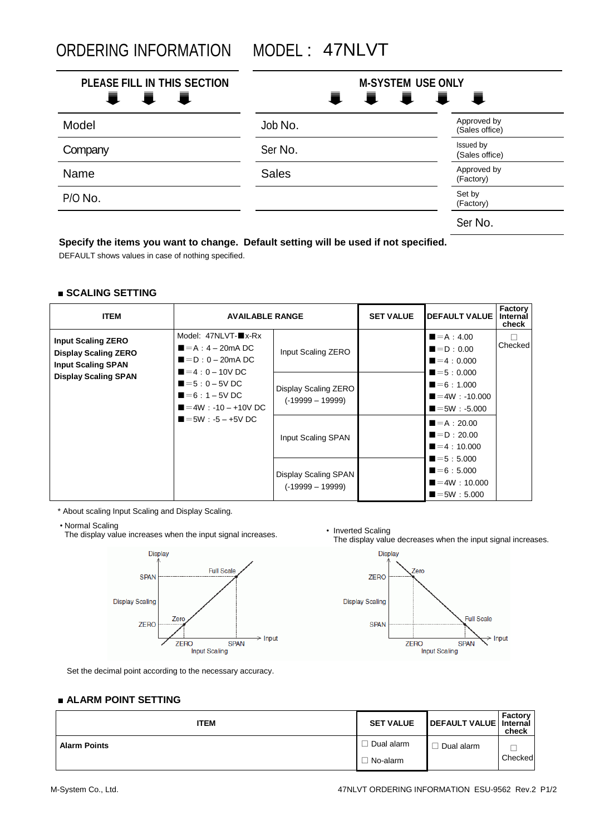ORDERING INFORMATION MODEL : 47NLVT

| PLEASE FILL IN THIS SECTION<br>i I<br>■ | <b>M-SYSTEM USE ONLY</b><br>111<br>一 司 一<br>一章 |                               |  |
|-----------------------------------------|------------------------------------------------|-------------------------------|--|
| Model                                   | Job No.                                        | Approved by<br>(Sales office) |  |
| Company                                 | Ser No.                                        | Issued by<br>(Sales office)   |  |
| Name                                    | <b>Sales</b>                                   | Approved by<br>(Factory)      |  |
| P/O No.                                 |                                                | Set by<br>(Factory)           |  |
|                                         |                                                | Ser No.                       |  |

### **Specify the items you want to change. Default setting will be used if not specified.**

DEFAULT shows values in case of nothing specified.

#### **■ SCALING SETTING**

| <b>ITEM</b>                                                                                                          | <b>AVAILABLE RANGE</b>                                                                                                       |                                            | <b>SET VALUE</b> | <b>IDEFAULT VALUE I</b>                                                                | Factory<br>Internal<br>check |
|----------------------------------------------------------------------------------------------------------------------|------------------------------------------------------------------------------------------------------------------------------|--------------------------------------------|------------------|----------------------------------------------------------------------------------------|------------------------------|
| <b>Input Scaling ZERO</b><br><b>Display Scaling ZERO</b><br><b>Input Scaling SPAN</b><br><b>Display Scaling SPAN</b> | Model: 47NLVT-■x-Rx<br>$\blacksquare = A : 4 - 20 \text{mA}$ DC<br>$\blacksquare = D : 0 - 20 \text{mA}$ DC<br>$=4:0-10V$ DC | Input Scaling ZERO                         |                  | $\blacksquare = A : 4.00$<br>$\blacksquare = \blacksquare$ : 0.00<br>$=4:0.000$        | Checked                      |
|                                                                                                                      | $= 5 : 0 - 5V$ DC<br>$=6:1-5V$ DC<br>$=4W$ : -10 - +10V DC<br>$=5W : -5 - +5V DC$                                            | Display Scaling ZERO<br>$(-19999 - 19999)$ |                  | $= 5 : 0.000$<br>$=6:1.000$<br>$=4W : -10.000$<br>$\blacksquare = 5W : -5.000$         |                              |
|                                                                                                                      |                                                                                                                              | Input Scaling SPAN                         |                  | $= A : 20.00$<br>$\blacksquare = \blacksquare$ : 20.00<br>$=4:10,000$<br>$= 5 : 5.000$ |                              |
|                                                                                                                      |                                                                                                                              | Display Scaling SPAN<br>$(-19999 - 19999)$ |                  | $= 6:5.000$<br>$=4W:10.000$<br>$\blacksquare = 5W : 5.000$                             |                              |

\* About scaling Input Scaling and Display Scaling.

• Normal Scaling

The display value increases when the input signal increases.<br>The display value increases when the input signal increases.<br>The display value



The display value decreases when the input signal increases.



Set the decimal point according to the necessary accuracy.

# **■ ALARM POINT SETTING**

| <b>ITEM</b>         | <b>SET VALUE</b> | DEFAULT VALUE   Internal | Factory<br>check |
|---------------------|------------------|--------------------------|------------------|
| <b>Alarm Points</b> | Dual alarm       | Dual alarm               |                  |
|                     | l No-alarm       |                          | Checked          |